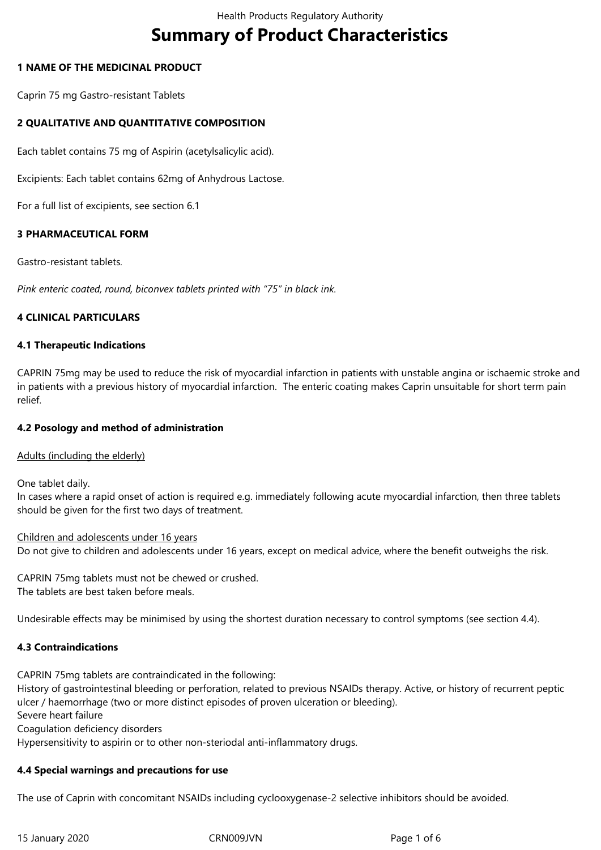# **Summary of Product Characteristics**

# **1 NAME OF THE MEDICINAL PRODUCT**

Caprin 75 mg Gastro-resistant Tablets

# **2 QUALITATIVE AND QUANTITATIVE COMPOSITION**

Each tablet contains 75 mg of Aspirin (acetylsalicylic acid).

Excipients: Each tablet contains 62mg of Anhydrous Lactose.

For a full list of excipients, see section 6.1

## **3 PHARMACEUTICAL FORM**

Gastro-resistant tablets*.*

*Pink enteric coated, round, biconvex tablets printed with "75" in black ink.*

## **4 CLINICAL PARTICULARS**

## **4.1 Therapeutic Indications**

CAPRIN 75mg may be used to reduce the risk of myocardial infarction in patients with unstable angina or ischaemic stroke and in patients with a previous history of myocardial infarction. The enteric coating makes Caprin unsuitable for short term pain relief.

## **4.2 Posology and method of administration**

## Adults (including the elderly)

One tablet daily.

In cases where a rapid onset of action is required e.g. immediately following acute myocardial infarction, then three tablets should be given for the first two days of treatment.

Children and adolescents under 16 years Do not give to children and adolescents under 16 years, except on medical advice, where the benefit outweighs the risk.

CAPRIN 75mg tablets must not be chewed or crushed. The tablets are best taken before meals.

Undesirable effects may be minimised by using the shortest duration necessary to control symptoms (see section 4.4).

## **4.3 Contraindications**

CAPRIN 75mg tablets are contraindicated in the following: History of gastrointestinal bleeding or perforation, related to previous NSAIDs therapy. Active, or history of recurrent peptic ulcer / haemorrhage (two or more distinct episodes of proven ulceration or bleeding). Severe heart failure Coagulation deficiency disorders Hypersensitivity to aspirin or to other non-steriodal anti-inflammatory drugs.

## **4.4 Special warnings and precautions for use**

The use of Caprin with concomitant NSAIDs including cyclooxygenase-2 selective inhibitors should be avoided.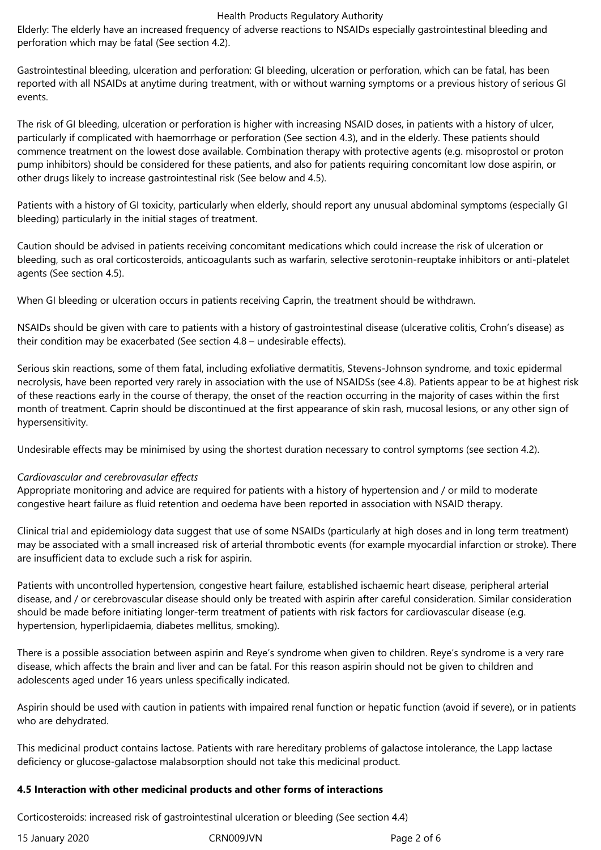#### Health Products Regulatory Authority

Elderly: The elderly have an increased frequency of adverse reactions to NSAIDs especially gastrointestinal bleeding and perforation which may be fatal (See section 4.2).

Gastrointestinal bleeding, ulceration and perforation: GI bleeding, ulceration or perforation, which can be fatal, has been reported with all NSAIDs at anytime during treatment, with or without warning symptoms or a previous history of serious GI events.

The risk of GI bleeding, ulceration or perforation is higher with increasing NSAID doses, in patients with a history of ulcer, particularly if complicated with haemorrhage or perforation (See section 4.3), and in the elderly. These patients should commence treatment on the lowest dose available. Combination therapy with protective agents (e.g. misoprostol or proton pump inhibitors) should be considered for these patients, and also for patients requiring concomitant low dose aspirin, or other drugs likely to increase gastrointestinal risk (See below and 4.5).

Patients with a history of GI toxicity, particularly when elderly, should report any unusual abdominal symptoms (especially GI bleeding) particularly in the initial stages of treatment.

Caution should be advised in patients receiving concomitant medications which could increase the risk of ulceration or bleeding, such as oral corticosteroids, anticoagulants such as warfarin, selective serotonin-reuptake inhibitors or anti-platelet agents (See section 4.5).

When GI bleeding or ulceration occurs in patients receiving Caprin, the treatment should be withdrawn.

NSAIDs should be given with care to patients with a history of gastrointestinal disease (ulcerative colitis, Crohn's disease) as their condition may be exacerbated (See section 4.8 – undesirable effects).

Serious skin reactions, some of them fatal, including exfoliative dermatitis, Stevens-Johnson syndrome, and toxic epidermal necrolysis, have been reported very rarely in association with the use of NSAIDSs (see 4.8). Patients appear to be at highest risk of these reactions early in the course of therapy, the onset of the reaction occurring in the majority of cases within the first month of treatment. Caprin should be discontinued at the first appearance of skin rash, mucosal lesions, or any other sign of hypersensitivity.

Undesirable effects may be minimised by using the shortest duration necessary to control symptoms (see section 4.2).

## *Cardiovascular and cerebrovasular effects*

Appropriate monitoring and advice are required for patients with a history of hypertension and / or mild to moderate congestive heart failure as fluid retention and oedema have been reported in association with NSAID therapy.

Clinical trial and epidemiology data suggest that use of some NSAIDs (particularly at high doses and in long term treatment) may be associated with a small increased risk of arterial thrombotic events (for example myocardial infarction or stroke). There are insufficient data to exclude such a risk for aspirin.

Patients with uncontrolled hypertension, congestive heart failure, established ischaemic heart disease, peripheral arterial disease, and / or cerebrovascular disease should only be treated with aspirin after careful consideration. Similar consideration should be made before initiating longer-term treatment of patients with risk factors for cardiovascular disease (e.g. hypertension, hyperlipidaemia, diabetes mellitus, smoking).

There is a possible association between aspirin and Reye's syndrome when given to children. Reye's syndrome is a very rare disease, which affects the brain and liver and can be fatal. For this reason aspirin should not be given to children and adolescents aged under 16 years unless specifically indicated.

Aspirin should be used with caution in patients with impaired renal function or hepatic function (avoid if severe), or in patients who are dehydrated.

This medicinal product contains lactose. Patients with rare hereditary problems of galactose intolerance, the Lapp lactase deficiency or glucose-galactose malabsorption should not take this medicinal product.

## **4.5 Interaction with other medicinal products and other forms of interactions**

Corticosteroids: increased risk of gastrointestinal ulceration or bleeding (See section 4.4)

| 15 January 2020 | CRN <sub>0</sub> |
|-----------------|------------------|
|-----------------|------------------|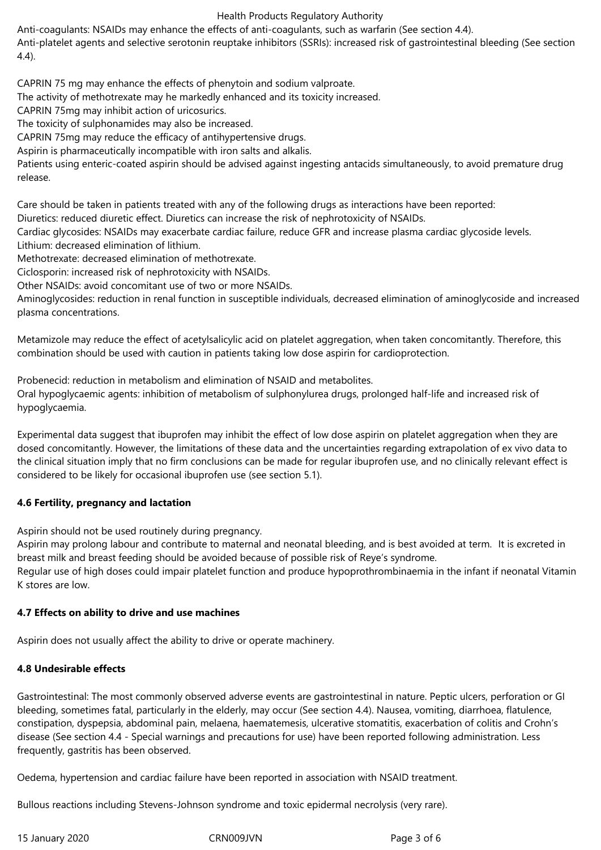# Health Products Regulatory Authority

Anti-coagulants: NSAIDs may enhance the effects of anti-coagulants, such as warfarin (See section 4.4).

Anti-platelet agents and selective serotonin reuptake inhibitors (SSRIs): increased risk of gastrointestinal bleeding (See section 4.4).

CAPRIN 75 mg may enhance the effects of phenytoin and sodium valproate.

The activity of methotrexate may he markedly enhanced and its toxicity increased.

CAPRIN 75mg may inhibit action of uricosurics.

The toxicity of sulphonamides may also be increased.

CAPRIN 75mg may reduce the efficacy of antihypertensive drugs.

Aspirin is pharmaceutically incompatible with iron salts and alkalis.

Patients using enteric-coated aspirin should be advised against ingesting antacids simultaneously, to avoid premature drug release.

Care should be taken in patients treated with any of the following drugs as interactions have been reported:

Diuretics: reduced diuretic effect. Diuretics can increase the risk of nephrotoxicity of NSAIDs.

Cardiac glycosides: NSAIDs may exacerbate cardiac failure, reduce GFR and increase plasma cardiac glycoside levels. Lithium: decreased elimination of lithium.

Methotrexate: decreased elimination of methotrexate.

Ciclosporin: increased risk of nephrotoxicity with NSAIDs.

Other NSAIDs: avoid concomitant use of two or more NSAIDs.

Aminoglycosides: reduction in renal function in susceptible individuals, decreased elimination of aminoglycoside and increased plasma concentrations.

Metamizole may reduce the effect of acetylsalicylic acid on platelet aggregation, when taken concomitantly. Therefore, this combination should be used with caution in patients taking low dose aspirin for cardioprotection.

Probenecid: reduction in metabolism and elimination of NSAID and metabolites. Oral hypoglycaemic agents: inhibition of metabolism of sulphonylurea drugs, prolonged half-life and increased risk of hypoglycaemia.

Experimental data suggest that ibuprofen may inhibit the effect of low dose aspirin on platelet aggregation when they are dosed concomitantly. However, the limitations of these data and the uncertainties regarding extrapolation of ex vivo data to the clinical situation imply that no firm conclusions can be made for regular ibuprofen use, and no clinically relevant effect is considered to be likely for occasional ibuprofen use (see section 5.1).

## **4.6 Fertility, pregnancy and lactation**

Aspirin should not be used routinely during pregnancy.

Aspirin may prolong labour and contribute to maternal and neonatal bleeding, and is best avoided at term. It is excreted in breast milk and breast feeding should be avoided because of possible risk of Reye's syndrome. Regular use of high doses could impair platelet function and produce hypoprothrombinaemia in the infant if neonatal Vitamin K stores are low.

## **4.7 Effects on ability to drive and use machines**

Aspirin does not usually affect the ability to drive or operate machinery.

## **4.8 Undesirable effects**

Gastrointestinal: The most commonly observed adverse events are gastrointestinal in nature. Peptic ulcers, perforation or GI bleeding, sometimes fatal, particularly in the elderly, may occur (See section 4.4). Nausea, vomiting, diarrhoea, flatulence, constipation, dyspepsia, abdominal pain, melaena, haematemesis, ulcerative stomatitis, exacerbation of colitis and Crohn's disease (See section 4.4 - Special warnings and precautions for use) have been reported following administration. Less frequently, gastritis has been observed.

Oedema, hypertension and cardiac failure have been reported in association with NSAID treatment.

Bullous reactions including Stevens-Johnson syndrome and toxic epidermal necrolysis (very rare).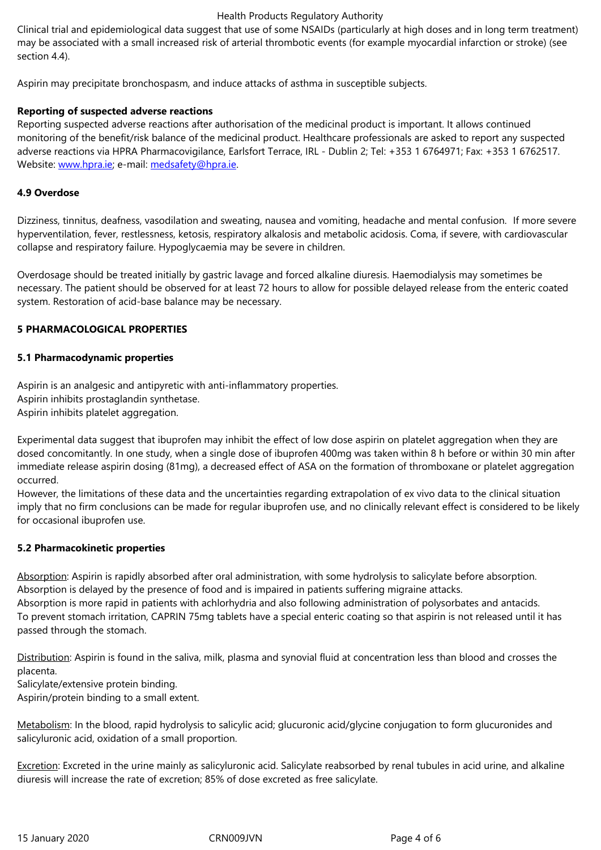section 4.4).

Aspirin may precipitate bronchospasm, and induce attacks of asthma in susceptible subjects.

# **Reporting of suspected adverse reactions**

Reporting suspected adverse reactions after authorisation of the medicinal product is important. It allows continued monitoring of the benefit/risk balance of the medicinal product. Healthcare professionals are asked to report any suspected adverse reactions via HPRA Pharmacovigilance, Earlsfort Terrace, IRL - Dublin 2; Tel: +353 1 6764971; Fax: +353 1 6762517. Website: www.hpra.ie; e-mail: medsafety@hpra.ie.

# **4.9 Overdose**

Dizziness[, tinnitus, dea](http://www.hpra.ie/)fness, v[asodilation and swe](mailto:medsafety@hpra.ie)ating, nausea and vomiting, headache and mental confusion. If more severe hyperventilation, fever, restlessness, ketosis, respiratory alkalosis and metabolic acidosis. Coma, if severe, with cardiovascular collapse and respiratory failure. Hypoglycaemia may be severe in children.

Overdosage should be treated initially by gastric lavage and forced alkaline diuresis. Haemodialysis may sometimes be necessary. The patient should be observed for at least 72 hours to allow for possible delayed release from the enteric coated system. Restoration of acid-base balance may be necessary.

# **5 PHARMACOLOGICAL PROPERTIES**

# **5.1 Pharmacodynamic properties**

Aspirin is an analgesic and antipyretic with anti-inflammatory properties. Aspirin inhibits prostaglandin synthetase. Aspirin inhibits platelet aggregation.

Experimental data suggest that ibuprofen may inhibit the effect of low dose aspirin on platelet aggregation when they are dosed concomitantly. In one study, when a single dose of ibuprofen 400mg was taken within 8 h before or within 30 min after immediate release aspirin dosing (81mg), a decreased effect of ASA on the formation of thromboxane or platelet aggregation occurred.

However, the limitations of these data and the uncertainties regarding extrapolation of ex vivo data to the clinical situation imply that no firm conclusions can be made for regular ibuprofen use, and no clinically relevant effect is considered to be likely for occasional ibuprofen use.

## **5.2 Pharmacokinetic properties**

Absorption: Aspirin is rapidly absorbed after oral administration, with some hydrolysis to salicylate before absorption. Absorption is delayed by the presence of food and is impaired in patients suffering migraine attacks. Absorption is more rapid in patients with achlorhydria and also following administration of polysorbates and antacids.

To prevent stomach irritation, CAPRIN 75mg tablets have a special enteric coating so that aspirin is not released until it has passed through the stomach.

Distribution: Aspirin is found in the saliva, milk, plasma and synovial fluid at concentration less than blood and crosses the placenta.

Salicylate/extensive protein binding.

Aspirin/protein binding to a small extent.

Metabolism: In the blood, rapid hydrolysis to salicylic acid; glucuronic acid/glycine conjugation to form glucuronides and salicyluronic acid, oxidation of a small proportion.

Excretion: Excreted in the urine mainly as salicyluronic acid. Salicylate reabsorbed by renal tubules in acid urine, and alkaline diuresis will increase the rate of excretion; 85% of dose excreted as free salicylate.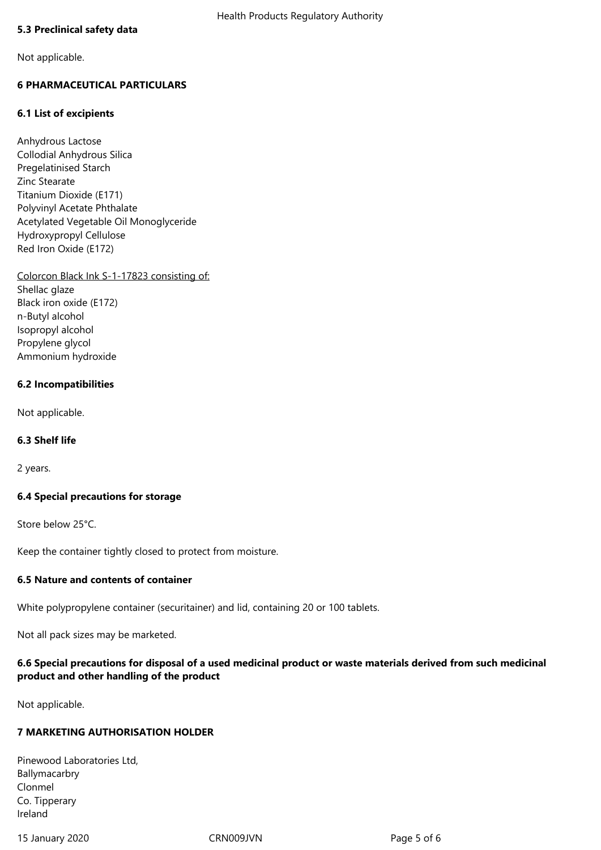## **5.3 Preclinical safety data**

Not applicable.

# **6 PHARMACEUTICAL PARTICULARS**

## **6.1 List of excipients**

Anhydrous Lactose Collodial Anhydrous Silica Pregelatinised Starch Zinc Stearate Titanium Dioxide (E171) Polyvinyl Acetate Phthalate Acetylated Vegetable Oil Monoglyceride Hydroxypropyl Cellulose Red Iron Oxide (E172)

Colorcon Black Ink S-1-17823 consisting of: Shellac glaze Black iron oxide (E172) n-Butyl alcohol Isopropyl alcohol Propylene glycol Ammonium hydroxide

#### **6.2 Incompatibilities**

Not applicable.

## **6.3 Shelf life**

2 years.

## **6.4 Special precautions for storage**

Store below 25°C.

Keep the container tightly closed to protect from moisture.

## **6.5 Nature and contents of container**

White polypropylene container (securitainer) and lid, containing 20 or 100 tablets.

Not all pack sizes may be marketed.

# **6.6 Special precautions for disposal of a used medicinal product or waste materials derived from such medicinal product and other handling of the product**

Not applicable.

## **7 MARKETING AUTHORISATION HOLDER**

Pinewood Laboratories Ltd, Ballymacarbry Clonmel Co. Tipperary Ireland

15 January 2020 CRN009JVN Page 5 of 6